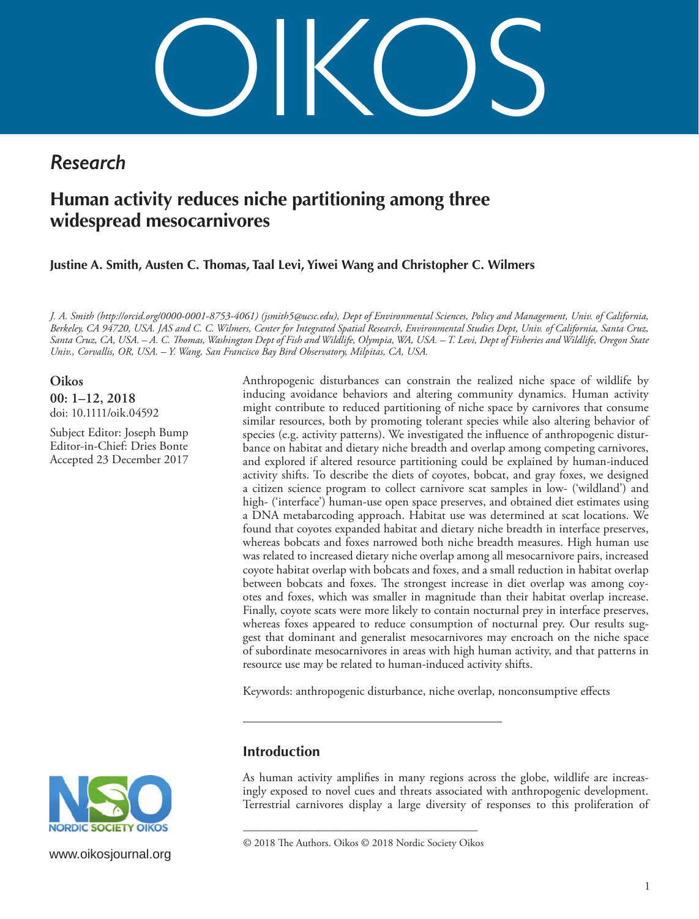OIKOS

# *Research*

# **Human activity reduces niche partitioning among three widespread mesocarnivores**

**Justine A. Smith, Austen C. Thomas, Taal Levi, Yiwei Wang and Christopher C. Wilmers**

*J. A. Smith [\(http://orcid.org](http://orcid.org/0000-0001-8753-4061)/0000-0001-8753-4061) (jsmith5@ucsc.edu), Dept of Environmental Sciences, Policy and Management, Univ. of California, Berkeley, CA 94720, USA. JAS and C. C. Wilmers, Center for Integrated Spatial Research, Environmental Studies Dept, Univ. of California, Santa Cruz, Santa Cruz, CA, USA. – A. C. Thomas, Washington Dept of Fish and Wildlife, Olympia, WA, USA. – T. Levi, Dept of Fisheries and Wildlife, Oregon State Univ., Corvallis, OR, USA. – Y. Wang, San Francisco Bay Bird Observatory, Milpitas, CA, USA.*

**Oikos 00: 1–12, 2018** doi: 10.1111/oik.04592

Subject Editor: Joseph Bump Editor-in-Chief: Dries Bonte Accepted 23 December 2017 Anthropogenic disturbances can constrain the realized niche space of wildlife by inducing avoidance behaviors and altering community dynamics. Human activity might contribute to reduced partitioning of niche space by carnivores that consume similar resources, both by promoting tolerant species while also altering behavior of species (e.g. activity patterns). We investigated the influence of anthropogenic disturbance on habitat and dietary niche breadth and overlap among competing carnivores, and explored if altered resource partitioning could be explained by human-induced activity shifts. To describe the diets of coyotes, bobcat, and gray foxes, we designed a citizen science program to collect carnivore scat samples in low- ('wildland') and high- ('interface') human-use open space preserves, and obtained diet estimates using a DNA metabarcoding approach. Habitat use was determined at scat locations. We found that coyotes expanded habitat and dietary niche breadth in interface preserves, whereas bobcats and foxes narrowed both niche breadth measures. High human use was related to increased dietary niche overlap among all mesocarnivore pairs, increased coyote habitat overlap with bobcats and foxes, and a small reduction in habitat overlap between bobcats and foxes. The strongest increase in diet overlap was among coyotes and foxes, which was smaller in magnitude than their habitat overlap increase. Finally, coyote scats were more likely to contain nocturnal prey in interface preserves, whereas foxes appeared to reduce consumption of nocturnal prey. Our results suggest that dominant and generalist mesocarnivores may encroach on the niche space of subordinate mesocarnivores in areas with high human activity, and that patterns in resource use may be related to human-induced activity shifts.

Keywords: anthropogenic disturbance, niche overlap, nonconsumptive effects

# **Introduction**

As human activity amplifies in many regions across the globe, wildlife are increasingly exposed to novel cues and threats associated with anthropogenic development. Terrestrial carnivores display a large diversity of responses to this proliferation of

–––––––––––––––––––––––––––––––––––––––– © 2018 The Authors. Oikos © 2018 Nordic Society Oikos



[www.oikosjournal.org](http://www.oikosjournal.org)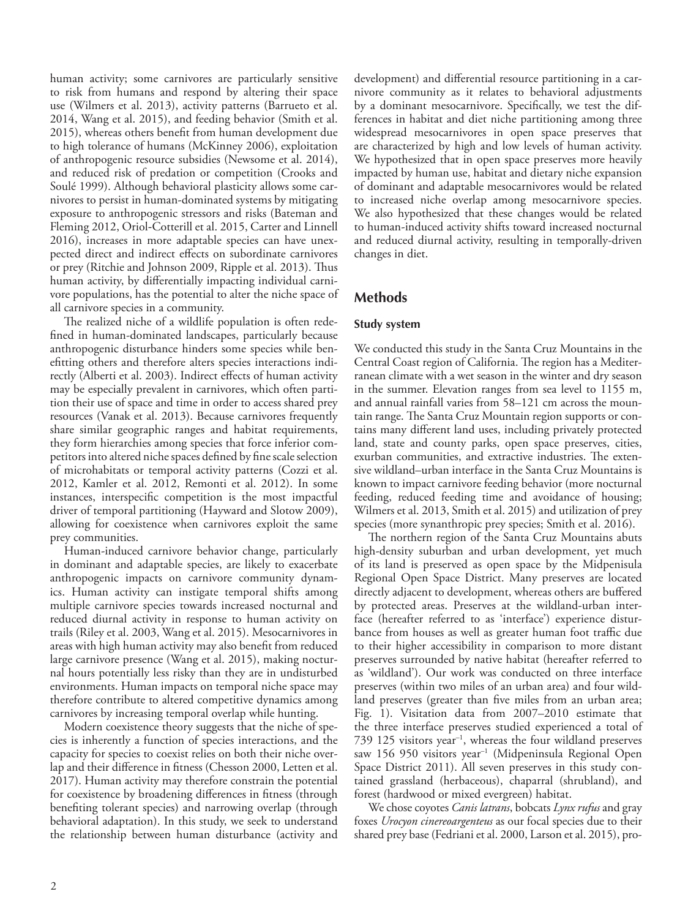human activity; some carnivores are particularly sensitive to risk from humans and respond by altering their space use (Wilmers et al. 2013), activity patterns (Barrueto et al. 2014, Wang et al. 2015), and feeding behavior (Smith et al. 2015), whereas others benefit from human development due to high tolerance of humans (McKinney 2006), exploitation of anthropogenic resource subsidies (Newsome et al. 2014), and reduced risk of predation or competition (Crooks and Soulé 1999). Although behavioral plasticity allows some carnivores to persist in human-dominated systems by mitigating exposure to anthropogenic stressors and risks (Bateman and Fleming 2012, Oriol‐Cotterill et al. 2015, Carter and Linnell 2016), increases in more adaptable species can have unexpected direct and indirect effects on subordinate carnivores or prey (Ritchie and Johnson 2009, Ripple et al. 2013). Thus human activity, by differentially impacting individual carnivore populations, has the potential to alter the niche space of all carnivore species in a community.

The realized niche of a wildlife population is often redefined in human-dominated landscapes, particularly because anthropogenic disturbance hinders some species while benefitting others and therefore alters species interactions indirectly (Alberti et al. 2003). Indirect effects of human activity may be especially prevalent in carnivores, which often partition their use of space and time in order to access shared prey resources (Vanak et al. 2013). Because carnivores frequently share similar geographic ranges and habitat requirements, they form hierarchies among species that force inferior competitors into altered niche spaces defined by fine scale selection of microhabitats or temporal activity patterns (Cozzi et al. 2012, Kamler et al. 2012, Remonti et al. 2012). In some instances, interspecific competition is the most impactful driver of temporal partitioning (Hayward and Slotow 2009), allowing for coexistence when carnivores exploit the same prey communities.

Human-induced carnivore behavior change, particularly in dominant and adaptable species, are likely to exacerbate anthropogenic impacts on carnivore community dynamics. Human activity can instigate temporal shifts among multiple carnivore species towards increased nocturnal and reduced diurnal activity in response to human activity on trails (Riley et al. 2003, Wang et al. 2015). Mesocarnivores in areas with high human activity may also benefit from reduced large carnivore presence (Wang et al. 2015), making nocturnal hours potentially less risky than they are in undisturbed environments. Human impacts on temporal niche space may therefore contribute to altered competitive dynamics among carnivores by increasing temporal overlap while hunting.

Modern coexistence theory suggests that the niche of species is inherently a function of species interactions, and the capacity for species to coexist relies on both their niche overlap and their difference in fitness (Chesson 2000, Letten et al. 2017). Human activity may therefore constrain the potential for coexistence by broadening differences in fitness (through benefiting tolerant species) and narrowing overlap (through behavioral adaptation). In this study, we seek to understand the relationship between human disturbance (activity and

development) and differential resource partitioning in a carnivore community as it relates to behavioral adjustments by a dominant mesocarnivore. Specifically, we test the differences in habitat and diet niche partitioning among three widespread mesocarnivores in open space preserves that are characterized by high and low levels of human activity. We hypothesized that in open space preserves more heavily impacted by human use, habitat and dietary niche expansion of dominant and adaptable mesocarnivores would be related to increased niche overlap among mesocarnivore species. We also hypothesized that these changes would be related to human-induced activity shifts toward increased nocturnal and reduced diurnal activity, resulting in temporally-driven changes in diet.

# **Methods**

## **Study system**

We conducted this study in the Santa Cruz Mountains in the Central Coast region of California. The region has a Mediterranean climate with a wet season in the winter and dry season in the summer. Elevation ranges from sea level to 1155 m, and annual rainfall varies from 58–121 cm across the mountain range. The Santa Cruz Mountain region supports or contains many different land uses, including privately protected land, state and county parks, open space preserves, cities, exurban communities, and extractive industries. The extensive wildland–urban interface in the Santa Cruz Mountains is known to impact carnivore feeding behavior (more nocturnal feeding, reduced feeding time and avoidance of housing; Wilmers et al. 2013, Smith et al. 2015) and utilization of prey species (more synanthropic prey species; Smith et al. 2016).

The northern region of the Santa Cruz Mountains abuts high-density suburban and urban development, yet much of its land is preserved as open space by the Midpenisula Regional Open Space District. Many preserves are located directly adjacent to development, whereas others are buffered by protected areas. Preserves at the wildland-urban interface (hereafter referred to as 'interface') experience disturbance from houses as well as greater human foot traffic due to their higher accessibility in comparison to more distant preserves surrounded by native habitat (hereafter referred to as 'wildland'). Our work was conducted on three interface preserves (within two miles of an urban area) and four wildland preserves (greater than five miles from an urban area; Fig. 1). Visitation data from 2007–2010 estimate that the three interface preserves studied experienced a total of 739 125 visitors year–1, whereas the four wildland preserves saw 156 950 visitors year<sup>-1</sup> (Midpeninsula Regional Open Space District 2011). All seven preserves in this study contained grassland (herbaceous), chaparral (shrubland), and forest (hardwood or mixed evergreen) habitat.

We chose coyotes *Canis latrans*, bobcats *Lynx rufus* and gray foxes *Urocyon cinereoargenteus* as our focal species due to their shared prey base (Fedriani et al. 2000, Larson et al. 2015), pro-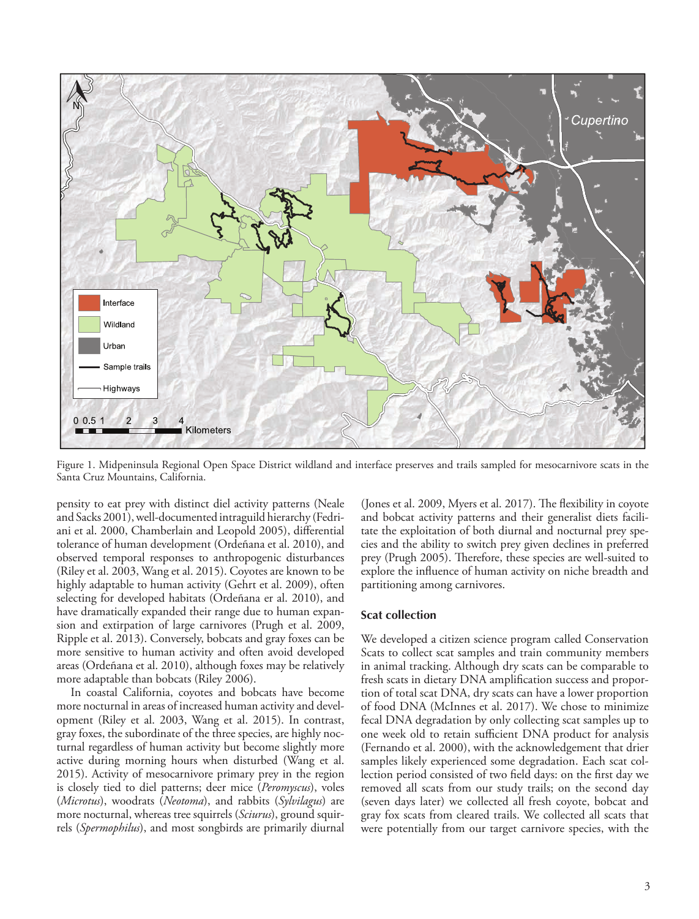

Figure 1. Midpeninsula Regional Open Space District wildland and interface preserves and trails sampled for mesocarnivore scats in the Santa Cruz Mountains, California.

pensity to eat prey with distinct diel activity patterns (Neale and Sacks 2001), well-documented intraguild hierarchy (Fedriani et al. 2000, Chamberlain and Leopold 2005), differential tolerance of human development (Ordeñana et al. 2010), and observed temporal responses to anthropogenic disturbances (Riley et al. 2003, Wang et al. 2015). Coyotes are known to be highly adaptable to human activity (Gehrt et al. 2009), often selecting for developed habitats (Ordeñana er al. 2010), and have dramatically expanded their range due to human expansion and extirpation of large carnivores (Prugh et al. 2009, Ripple et al. 2013). Conversely, bobcats and gray foxes can be more sensitive to human activity and often avoid developed areas (Ordeñana et al. 2010), although foxes may be relatively more adaptable than bobcats (Riley 2006).

In coastal California, coyotes and bobcats have become more nocturnal in areas of increased human activity and development (Riley et al. 2003, Wang et al. 2015). In contrast, gray foxes, the subordinate of the three species, are highly nocturnal regardless of human activity but become slightly more active during morning hours when disturbed (Wang et al. 2015). Activity of mesocarnivore primary prey in the region is closely tied to diel patterns; deer mice (*Peromyscus*), voles (*Microtus*), woodrats (*Neotoma*), and rabbits (*Sylvilagus*) are more nocturnal, whereas tree squirrels (*Sciurus*), ground squirrels (*Spermophilus*), and most songbirds are primarily diurnal (Jones et al. 2009, Myers et al. 2017). The flexibility in coyote and bobcat activity patterns and their generalist diets facilitate the exploitation of both diurnal and nocturnal prey species and the ability to switch prey given declines in preferred prey (Prugh 2005). Therefore, these species are well-suited to explore the influence of human activity on niche breadth and partitioning among carnivores.

#### **Scat collection**

We developed a citizen science program called Conservation Scats to collect scat samples and train community members in animal tracking. Although dry scats can be comparable to fresh scats in dietary DNA amplification success and proportion of total scat DNA, dry scats can have a lower proportion of food DNA (McInnes et al. 2017). We chose to minimize fecal DNA degradation by only collecting scat samples up to one week old to retain sufficient DNA product for analysis (Fernando et al. 2000), with the acknowledgement that drier samples likely experienced some degradation. Each scat collection period consisted of two field days: on the first day we removed all scats from our study trails; on the second day (seven days later) we collected all fresh coyote, bobcat and gray fox scats from cleared trails. We collected all scats that were potentially from our target carnivore species, with the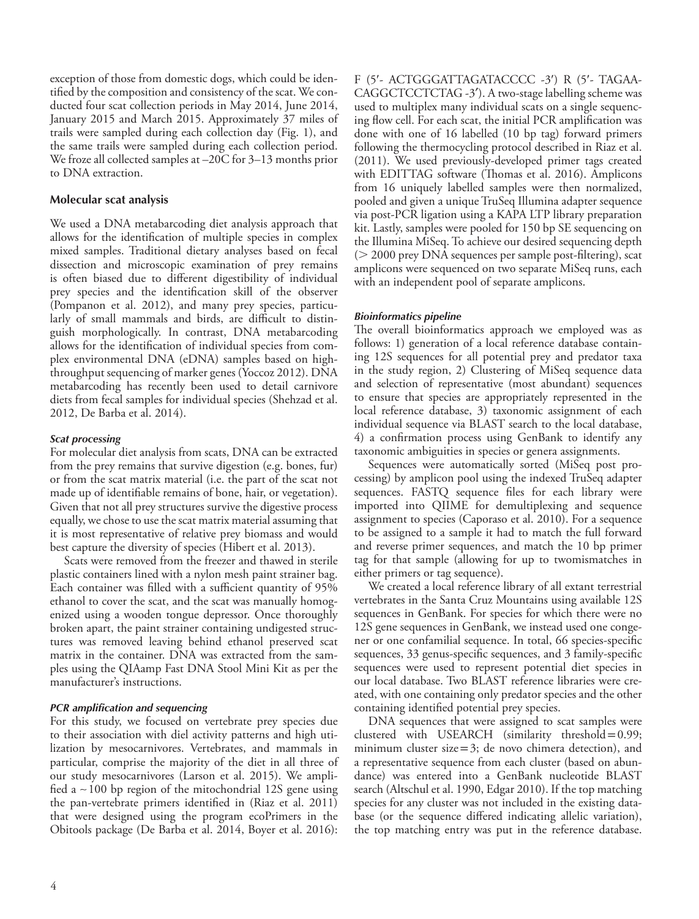exception of those from domestic dogs, which could be identified by the composition and consistency of the scat. We conducted four scat collection periods in May 2014, June 2014, January 2015 and March 2015. Approximately 37 miles of trails were sampled during each collection day (Fig. 1), and the same trails were sampled during each collection period. We froze all collected samples at  $-20C$  for  $3-13$  months prior to DNA extraction.

## **Molecular scat analysis**

We used a DNA metabarcoding diet analysis approach that allows for the identification of multiple species in complex mixed samples. Traditional dietary analyses based on fecal dissection and microscopic examination of prey remains is often biased due to different digestibility of individual prey species and the identification skill of the observer (Pompanon et al. 2012), and many prey species, particularly of small mammals and birds, are difficult to distinguish morphologically. In contrast, DNA metabarcoding allows for the identification of individual species from complex environmental DNA (eDNA) samples based on highthroughput sequencing of marker genes (Yoccoz 2012). DNA metabarcoding has recently been used to detail carnivore diets from fecal samples for individual species (Shehzad et al. 2012, De Barba et al. 2014).

### *Scat processing*

For molecular diet analysis from scats, DNA can be extracted from the prey remains that survive digestion (e.g. bones, fur) or from the scat matrix material (i.e. the part of the scat not made up of identifiable remains of bone, hair, or vegetation). Given that not all prey structures survive the digestive process equally, we chose to use the scat matrix material assuming that it is most representative of relative prey biomass and would best capture the diversity of species (Hibert et al. 2013).

Scats were removed from the freezer and thawed in sterile plastic containers lined with a nylon mesh paint strainer bag. Each container was filled with a sufficient quantity of 95% ethanol to cover the scat, and the scat was manually homogenized using a wooden tongue depressor. Once thoroughly broken apart, the paint strainer containing undigested structures was removed leaving behind ethanol preserved scat matrix in the container. DNA was extracted from the samples using the QIAamp Fast DNA Stool Mini Kit as per the manufacturer's instructions.

### *PCR amplification and sequencing*

For this study, we focused on vertebrate prey species due to their association with diel activity patterns and high utilization by mesocarnivores. Vertebrates, and mammals in particular, comprise the majority of the diet in all three of our study mesocarnivores (Larson et al. 2015). We amplified a  $\sim$  100 bp region of the mitochondrial 12S gene using the pan-vertebrate primers identified in (Riaz et al. 2011) that were designed using the program ecoPrimers in the Obitools package (De Barba et al. 2014, Boyer et al. 2016):

F (5'- ACTGGGATTAGATACCCC -3') R (5'- TAGAA-CAGGCTCCTCTAG -3*¢*). A two-stage labelling scheme was used to multiplex many individual scats on a single sequencing flow cell. For each scat, the initial PCR amplification was done with one of 16 labelled (10 bp tag) forward primers following the thermocycling protocol described in Riaz et al. (2011). We used previously-developed primer tags created with EDITTAG software (Thomas et al. 2016). Amplicons from 16 uniquely labelled samples were then normalized, pooled and given a unique TruSeq Illumina adapter sequence via post-PCR ligation using a KAPA LTP library preparation kit. Lastly, samples were pooled for 150 bp SE sequencing on the Illumina MiSeq. To achieve our desired sequencing depth  $($  2000 prey DNA sequences per sample post-filtering), scat amplicons were sequenced on two separate MiSeq runs, each with an independent pool of separate amplicons.

## *Bioinformatics pipeline*

The overall bioinformatics approach we employed was as follows: 1) generation of a local reference database containing 12S sequences for all potential prey and predator taxa in the study region, 2) Clustering of MiSeq sequence data and selection of representative (most abundant) sequences to ensure that species are appropriately represented in the local reference database, 3) taxonomic assignment of each individual sequence via BLAST search to the local database, 4) a confirmation process using GenBank to identify any taxonomic ambiguities in species or genera assignments.

Sequences were automatically sorted (MiSeq post processing) by amplicon pool using the indexed TruSeq adapter sequences. FASTQ sequence files for each library were imported into QIIME for demultiplexing and sequence assignment to species (Caporaso et al. 2010). For a sequence to be assigned to a sample it had to match the full forward and reverse primer sequences, and match the 10 bp primer tag for that sample (allowing for up to twomismatches in either primers or tag sequence).

We created a local reference library of all extant terrestrial vertebrates in the Santa Cruz Mountains using available 12S sequences in GenBank. For species for which there were no 12S gene sequences in GenBank, we instead used one congener or one confamilial sequence. In total, 66 species-specific sequences, 33 genus-specific sequences, and 3 family-specific sequences were used to represent potential diet species in our local database. Two BLAST reference libraries were created, with one containing only predator species and the other containing identified potential prey species.

DNA sequences that were assigned to scat samples were clustered with USEARCH (similarity threshold=0.99; minimum cluster size= $3$ ; de novo chimera detection), and a representative sequence from each cluster (based on abundance) was entered into a GenBank nucleotide BLAST search (Altschul et al. 1990, Edgar 2010). If the top matching species for any cluster was not included in the existing database (or the sequence differed indicating allelic variation), the top matching entry was put in the reference database.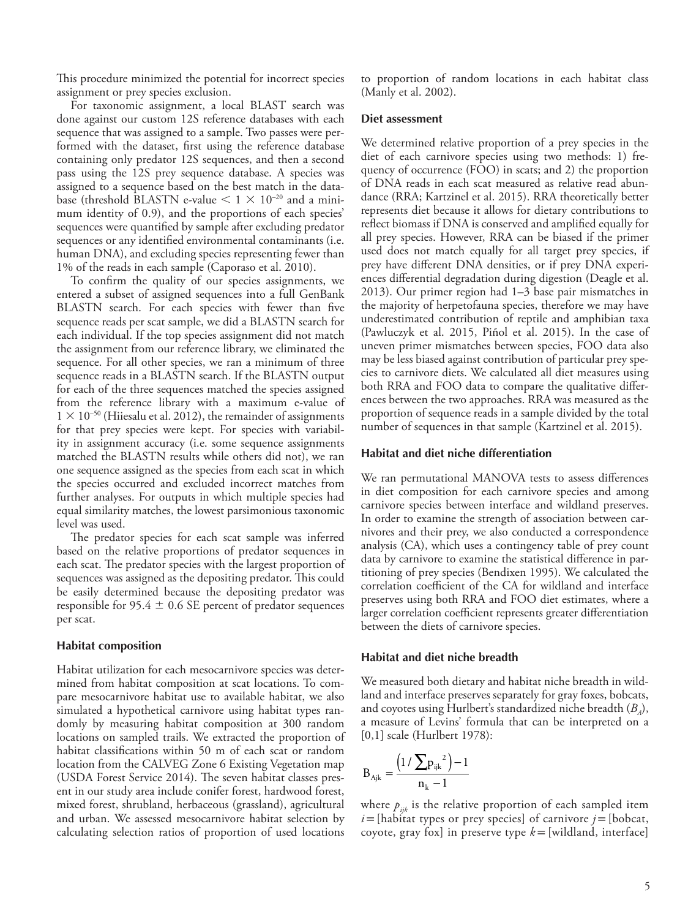This procedure minimized the potential for incorrect species assignment or prey species exclusion.

For taxonomic assignment, a local BLAST search was done against our custom 12S reference databases with each sequence that was assigned to a sample. Two passes were performed with the dataset, first using the reference database containing only predator 12S sequences, and then a second pass using the 12S prey sequence database. A species was assigned to a sequence based on the best match in the database (threshold BLASTN e-value  $\lt 1 \times 10^{-20}$  and a minimum identity of 0.9), and the proportions of each species' sequences were quantified by sample after excluding predator sequences or any identified environmental contaminants (i.e. human DNA), and excluding species representing fewer than 1% of the reads in each sample (Caporaso et al. 2010).

To confirm the quality of our species assignments, we entered a subset of assigned sequences into a full GenBank BLASTN search. For each species with fewer than five sequence reads per scat sample, we did a BLASTN search for each individual. If the top species assignment did not match the assignment from our reference library, we eliminated the sequence. For all other species, we ran a minimum of three sequence reads in a BLASTN search. If the BLASTN output for each of the three sequences matched the species assigned from the reference library with a maximum e-value of  $1 \times 10^{-50}$  (Hiiesalu et al. 2012), the remainder of assignments for that prey species were kept. For species with variability in assignment accuracy (i.e. some sequence assignments matched the BLASTN results while others did not), we ran one sequence assigned as the species from each scat in which the species occurred and excluded incorrect matches from further analyses. For outputs in which multiple species had equal similarity matches, the lowest parsimonious taxonomic level was used.

The predator species for each scat sample was inferred based on the relative proportions of predator sequences in each scat. The predator species with the largest proportion of sequences was assigned as the depositing predator. This could be easily determined because the depositing predator was responsible for  $95.4 \pm 0.6$  SE percent of predator sequences per scat.

### **Habitat composition**

Habitat utilization for each mesocarnivore species was determined from habitat composition at scat locations. To compare mesocarnivore habitat use to available habitat, we also simulated a hypothetical carnivore using habitat types randomly by measuring habitat composition at 300 random locations on sampled trails. We extracted the proportion of habitat classifications within 50 m of each scat or random location from the CALVEG Zone 6 Existing Vegetation map (USDA Forest Service 2014). The seven habitat classes present in our study area include conifer forest, hardwood forest, mixed forest, shrubland, herbaceous (grassland), agricultural and urban. We assessed mesocarnivore habitat selection by calculating selection ratios of proportion of used locations to proportion of random locations in each habitat class (Manly et al. 2002).

### **Diet assessment**

We determined relative proportion of a prey species in the diet of each carnivore species using two methods: 1) frequency of occurrence (FOO) in scats; and 2) the proportion of DNA reads in each scat measured as relative read abundance (RRA; Kartzinel et al. 2015). RRA theoretically better represents diet because it allows for dietary contributions to reflect biomass if DNA is conserved and amplified equally for all prey species. However, RRA can be biased if the primer used does not match equally for all target prey species, if prey have different DNA densities, or if prey DNA experiences differential degradation during digestion (Deagle et al. 2013). Our primer region had 1–3 base pair mismatches in the majority of herpetofauna species, therefore we may have underestimated contribution of reptile and amphibian taxa (Pawluczyk et al. 2015, Piñol et al. 2015). In the case of uneven primer mismatches between species, FOO data also may be less biased against contribution of particular prey species to carnivore diets. We calculated all diet measures using both RRA and FOO data to compare the qualitative differences between the two approaches. RRA was measured as the proportion of sequence reads in a sample divided by the total number of sequences in that sample (Kartzinel et al. 2015).

## **Habitat and diet niche differentiation**

We ran permutational MANOVA tests to assess differences in diet composition for each carnivore species and among carnivore species between interface and wildland preserves. In order to examine the strength of association between carnivores and their prey, we also conducted a correspondence analysis (CA), which uses a contingency table of prey count data by carnivore to examine the statistical difference in partitioning of prey species (Bendixen 1995). We calculated the correlation coefficient of the CA for wildland and interface preserves using both RRA and FOO diet estimates, where a larger correlation coefficient represents greater differentiation between the diets of carnivore species.

### **Habitat and diet niche breadth**

We measured both dietary and habitat niche breadth in wildland and interface preserves separately for gray foxes, bobcats, and coyotes using Hurlbert's standardized niche breadth  $(B_4)$ , a measure of Levins' formula that can be interpreted on a [0,1] scale (Hurlbert 1978):

$$
B_{Ajk} = \frac{\left(1 \, / \, \sum p_{ijk}^2\right) - 1}{n_k - 1}
$$

where  $p_{ijk}$  is the relative proportion of each sampled item  $i$  = [habitat types or prey species] of carnivore  $j$  = [bobcat, coyote, gray fox] in preserve type *k*=[wildland, interface]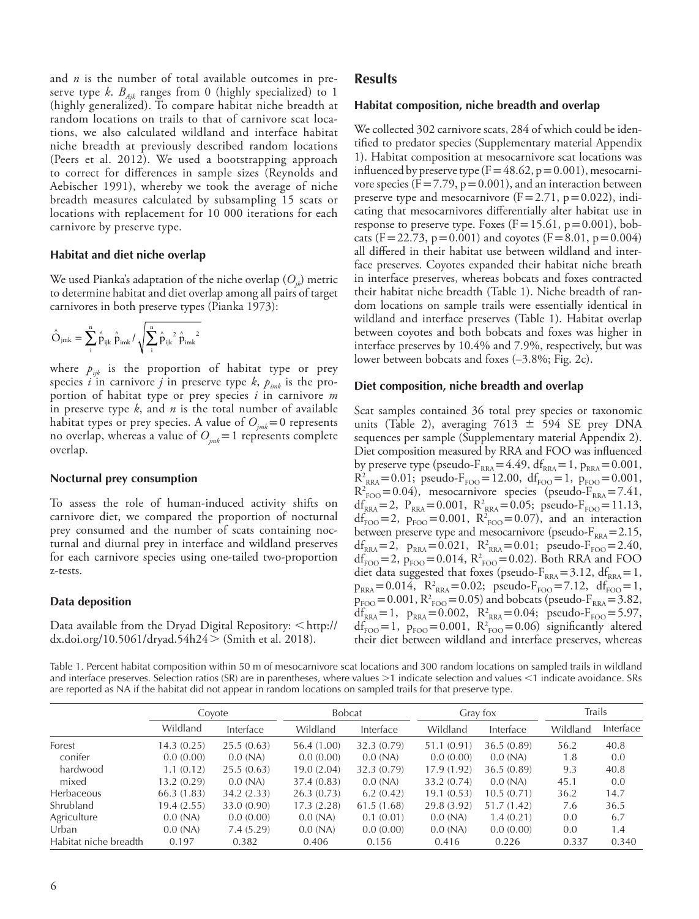and *n* is the number of total available outcomes in preserve type *k*.  $B_{Aik}$  ranges from 0 (highly specialized) to 1 (highly generalized). To compare habitat niche breadth at random locations on trails to that of carnivore scat locations, we also calculated wildland and interface habitat niche breadth at previously described random locations (Peers et al. 2012). We used a bootstrapping approach to correct for differences in sample sizes (Reynolds and Aebischer 1991), whereby we took the average of niche breadth measures calculated by subsampling 15 scats or locations with replacement for 10 000 iterations for each carnivore by preserve type.

#### **Habitat and diet niche overlap**

We used Pianka's adaptation of the niche overlap  $(O_{ik})$  metric to determine habitat and diet overlap among all pairs of target carnivores in both preserve types (Pianka 1973):

$$
\hat{O}_{jm k} = \sum_i^n \hat{p}_{ijk} \; \hat{p}_{im k} / \sqrt{\sum_i^n \hat{p}_{ijk}{}^2} \; \hat{p}_{im k}{}^2
$$

where  $p_{ijk}$  is the proportion of habitat type or prey species *i* in carnivore *j* in preserve type *k*,  $p_{imk}$  is the proportion of habitat type or prey species *i* in carnivore *m* in preserve type *k*, and *n* is the total number of available habitat types or prey species. A value of  $O_{i m k} = 0$  represents no overlap, whereas a value of  $O_{imk}=1$  represents complete overlap.

#### **Nocturnal prey consumption**

To assess the role of human-induced activity shifts on carnivore diet, we compared the proportion of nocturnal prey consumed and the number of scats containing nocturnal and diurnal prey in interface and wildland preserves for each carnivore species using one-tailed two-proportion z-tests.

#### **Data deposition**

Data available from the Dryad Digital Repository:  $\langle$ [http://](http://dx.doi.org/10.5061/dryad.xxxxx﻿) [dx.doi.org](http://dx.doi.org/10.5061/dryad.xxxxx﻿)/10.5061/dryad.54h24  $>$  (Smith et al. 2018).

## **Results**

### **Habitat composition, niche breadth and overlap**

We collected 302 carnivore scats, 284 of which could be identified to predator species (Supplementary material Appendix 1). Habitat composition at mesocarnivore scat locations was influenced by preserve type  $(F=48.62, p=0.001)$ , mesocarnivore species ( $F = 7.79$ ,  $p = 0.001$ ), and an interaction between preserve type and mesocarnivore  $(F=2.71, p=0.022)$ , indicating that mesocarnivores differentially alter habitat use in response to preserve type. Foxes  $(F=15.61, p=0.001)$ , bobcats (F=22.73, p=0.001) and coyotes (F=8.01, p=0.004) all differed in their habitat use between wildland and interface preserves. Coyotes expanded their habitat niche breath in interface preserves, whereas bobcats and foxes contracted their habitat niche breadth (Table 1). Niche breadth of random locations on sample trails were essentially identical in wildland and interface preserves (Table 1). Habitat overlap between coyotes and both bobcats and foxes was higher in interface preserves by 10.4% and 7.9%, respectively, but was lower between bobcats and foxes (–3.8%; Fig. 2c).

#### **Diet composition, niche breadth and overlap**

Scat samples contained 36 total prey species or taxonomic units (Table 2), averaging  $7613 \pm 594$  SE prey DNA sequences per sample (Supplementary material Appendix 2). Diet composition measured by RRA and FOO was influenced by preserve type (pseudo- $F_{RRA}$ =4.49, df<sub>RRA</sub>=1, p<sub>RRA</sub>=0.001,  $R_{\text{RRA}}^2 = 0.01$ ; pseudo- $F_{\text{FOO}} = 12.00$ ,  $df_{\text{FOO}} = 1$ ,  $p_{\text{FOO}} = 0.001$ ,  $R^2_{FOO} = 0.04$ ), mesocarnivore species (pseudo- $F_{RRA} = 7.41$ ,  $df_{\text{RRA}} = 2$ ,  $P_{\text{RRA}} = 0.001$ ,  $R_{\text{RRA}}^2 = 0.05$ ; pseudo- $F_{\text{FOO}} = 11.13$ ,  $df_{FOO} = 2$ ,  $p_{FOO} = 0.001$ ,  $R_{FOO}^2 = 0.07$ , and an interaction between preserve type and mesocarnivore (pseudo- $F_{RRA}=2.15$ ,  $df_{\text{RRA}} = 2$ ,  $p_{\text{RRA}} = 0.021$ ,  $R_{\text{RRA}}^2 = 0.01$ ; pseudo- $F_{\text{FOO}} = 2.40$ , df<sub>FOO</sub>=2,  $p_{FOO}$ =0.014,  $R_{FOO}^2$ =0.02). Both RRA and FOO diet data suggested that foxes (pseudo- $F_{RRA}$ =3.12, df<sub>RRA</sub>=1,  $p_{RRA} = 0.014$ ,  $R_{RRA}^2 = 0.02$ ; pseudo- $F_{FOO} = 7.12$ ,  $df_{FOO} = 1$ ,  $p_{\text{FOO}} = 0.001$ ,  $R_{\text{FOO}}^2 = 0.05$ ) and bobcats (pseudo- $F_{\text{RRA}} = 3.82$ ,  $df_{\text{RRA}} = 1$ ,  $p_{\text{RRA}} = 0.002$ ,  $R_{\text{RRA}}^2 = 0.04$ ; pseudo- $F_{\text{FOO}} = 5.97$ ,  $df_{\text{FOO}} = 1$ ,  $p_{\text{FOO}} = 0.001$ ,  $R_{\text{FOO}}^2 = 0.06$ ) significantly altered their diet between wildland and interface preserves, whereas

Table 1. Percent habitat composition within 50 m of mesocarnivore scat locations and 300 random locations on sampled trails in wildland and interface preserves. Selection ratios (SR) are in parentheses, where values >1 indicate selection and values <1 indicate avoidance. SRs are reported as NA if the habitat did not appear in random locations on sampled trails for that preserve type.

|                       | Covote      |             | <b>Bobcat</b> |             | Gray fox    |            | Trails   |           |
|-----------------------|-------------|-------------|---------------|-------------|-------------|------------|----------|-----------|
|                       | Wildland    | Interface   | Wildland      | Interface   | Wildland    | Interface  | Wildland | Interface |
| Forest                | 14.3 (0.25) | 25.5(0.63)  | 56.4 (1.00)   | 32.3 (0.79) | 51.1 (0.91) | 36.5(0.89) | 56.2     | 40.8      |
| conifer               | 0.0(0.00)   | 0.0(NA)     | 0.0(0.00)     | 0.0(NA)     | 0.0(0.00)   | 0.0(NA)    | 1.8      | 0.0       |
| hardwood              | 1.1(0.12)   | 25.5(0.63)  | 19.0(2.04)    | 32.3(0.79)  | 17.9(1.92)  | 36.5(0.89) | 9.3      | 40.8      |
| mixed                 | 13.2(0.29)  | 0.0(NA)     | 37.4 (0.83)   | 0.0(NA)     | 33.2 (0.74) | 0.0(NA)    | 45.1     | 0.0       |
| <b>Herbaceous</b>     | 66.3(1.83)  | 34.2(2.33)  | 26.3(0.73)    | 6.2(0.42)   | 19.1(0.53)  | 10.5(0.71) | 36.2     | 14.7      |
| Shrubland             | 19.4 (2.55) | 33.0 (0.90) | 17.3(2.28)    | 61.5(1.68)  | 29.8 (3.92) | 51.7(1.42) | 7.6      | 36.5      |
| Agriculture           | 0.0(NA)     | 0.0(0.00)   | $0.0$ (NA)    | 0.1(0.01)   | $0.0$ (NA)  | 1.4(0.21)  | 0.0      | 6.7       |
| Urban                 | 0.0(NA)     | 7.4(5.29)   | $0.0$ (NA)    | 0.0(0.00)   | $0.0$ (NA)  | 0.0(0.00)  | 0.0      | 1.4       |
| Habitat niche breadth | 0.197       | 0.382       | 0.406         | 0.156       | 0.416       | 0.226      | 0.337    | 0.340     |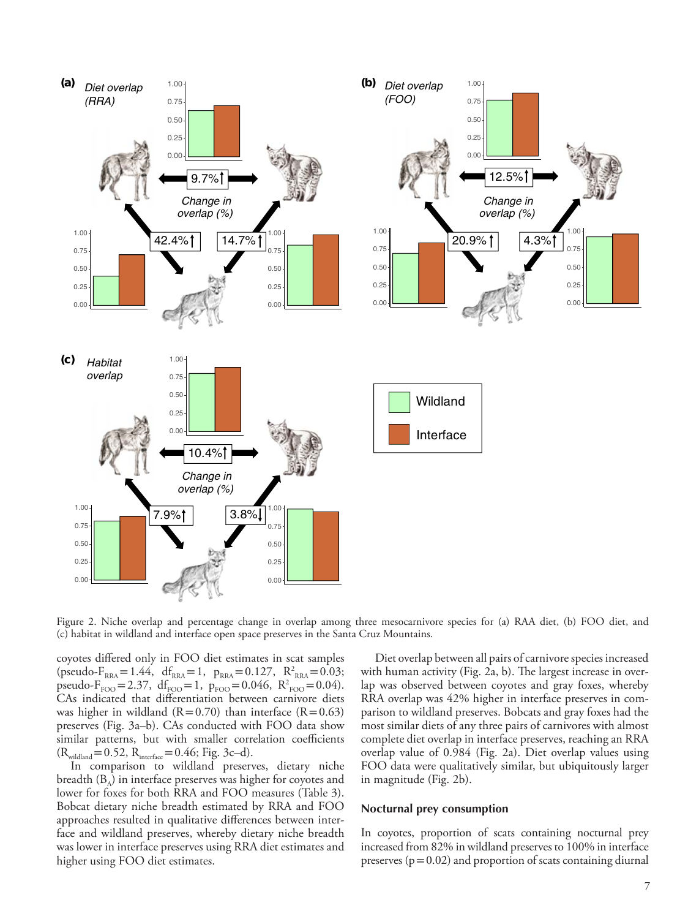

Figure 2. Niche overlap and percentage change in overlap among three mesocarnivore species for (a) RAA diet, (b) FOO diet, and (c) habitat in wildland and interface open space preserves in the Santa Cruz Mountains.

coyotes differed only in FOO diet estimates in scat samples  $(pseudo-F<sub>RRA</sub>=1.44, df<sub>RRA</sub>=1, p<sub>RRA</sub>=0.127, R<sup>2</sup><sub>RRA</sub>=0.03;$ pseudo- $F_{FOO} = 2.37$ , df<sub>FOO</sub> = 1, p<sub>FOO</sub> = 0.046, R<sup>2</sup><sub>FOO</sub> = 0.04). CAs indicated that differentiation between carnivore diets was higher in wildland  $(R=0.70)$  than interface  $(R=0.63)$ preserves (Fig. 3a–b). CAs conducted with FOO data show similar patterns, but with smaller correlation coefficients  $(R_{\text{wildland}}=0.52, R_{\text{interface}}=0.46; Fig. 3c-d).$ 

In comparison to wildland preserves, dietary niche breadth  $(B_A)$  in interface preserves was higher for coyotes and lower for foxes for both RRA and FOO measures (Table 3). Bobcat dietary niche breadth estimated by RRA and FOO approaches resulted in qualitative differences between interface and wildland preserves, whereby dietary niche breadth was lower in interface preserves using RRA diet estimates and higher using FOO diet estimates.

Diet overlap between all pairs of carnivore species increased with human activity (Fig. 2a, b). The largest increase in overlap was observed between coyotes and gray foxes, whereby RRA overlap was 42% higher in interface preserves in comparison to wildland preserves. Bobcats and gray foxes had the most similar diets of any three pairs of carnivores with almost complete diet overlap in interface preserves, reaching an RRA overlap value of 0.984 (Fig. 2a). Diet overlap values using FOO data were qualitatively similar, but ubiquitously larger in magnitude (Fig. 2b).

#### **Nocturnal prey consumption**

In coyotes, proportion of scats containing nocturnal prey increased from 82% in wildland preserves to 100% in interface preserves  $(p=0.02)$  and proportion of scats containing diurnal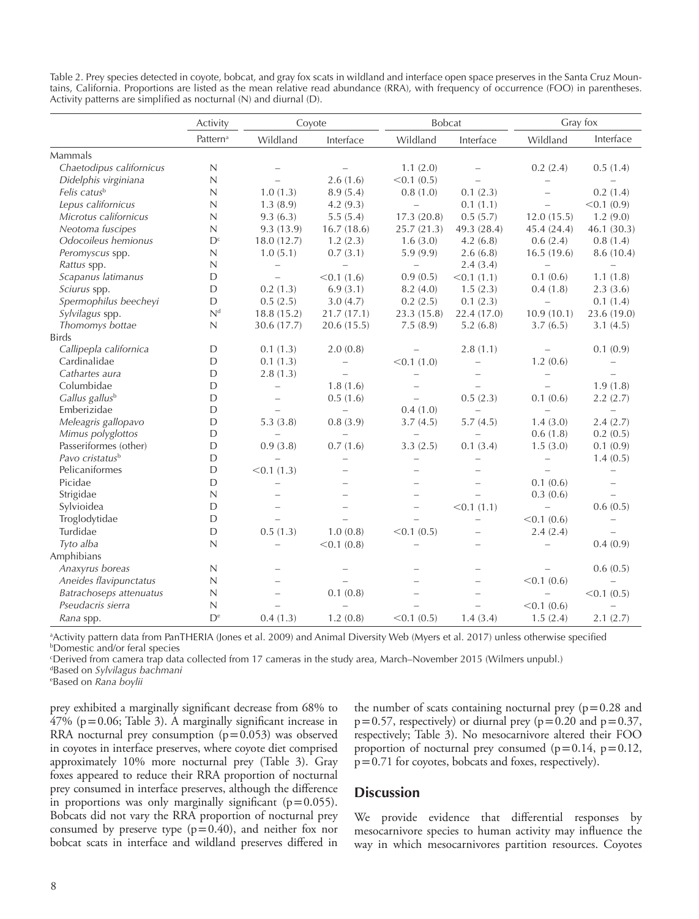Table 2. Prey species detected in coyote, bobcat, and gray fox scats in wildland and interface open space preserves in the Santa Cruz Mountains, California. Proportions are listed as the mean relative read abundance (RRA), with frequency of occurrence (FOO) in parentheses. Activity patterns are simplified as nocturnal (N) and diurnal (D).

|                             | Activity                  | Coyote                   |                          |                          | <b>Bobcat</b>            |                          | Gray fox                 |  |
|-----------------------------|---------------------------|--------------------------|--------------------------|--------------------------|--------------------------|--------------------------|--------------------------|--|
|                             | Pattern <sup>a</sup>      | Wildland                 | Interface                | Wildland                 | Interface                | Wildland                 | Interface                |  |
| Mammals                     |                           |                          |                          |                          |                          |                          |                          |  |
| Chaetodipus californicus    | $\mathbb N$               |                          | $\overline{\phantom{m}}$ | 1.1(2.0)                 |                          | 0.2(2.4)                 | 0.5(1.4)                 |  |
| Didelphis virginiana        | $\mathbb{N}$              | $\equiv$                 | 2.6(1.6)                 | < 0.1 (0.5)              | $\equiv$                 | $\qquad \qquad -$        | $\overline{\phantom{0}}$ |  |
| Felis catusb                | $\mathbb N$               | 1.0(1.3)                 | 8.9(5.4)                 | 0.8(1.0)                 | 0.1(2.3)                 | $\equiv$                 | 0.2(1.4)                 |  |
| Lepus californicus          | $\mathbb N$               | 1.3(8.9)                 | 4.2(9.3)                 | $\equiv$                 | 0.1(1.1)                 | $\overline{\phantom{0}}$ | < 0.1 (0.9)              |  |
| Microtus californicus       | $\mathbb N$               | 9.3(6.3)                 | 5.5(5.4)                 | 17.3(20.8)               | 0.5(5.7)                 | 12.0(15.5)               | 1.2(9.0)                 |  |
| Neotoma fuscipes            | $\mathbb N$               | 9.3(13.9)                | 16.7(18.6)               | 25.7(21.3)               | 49.3 (28.4)              | 45.4 (24.4)              | 46.1 (30.3)              |  |
| Odocoileus hemionus         | $D^c$                     | 18.0(12.7)               | 1.2(2.3)                 | 1.6(3.0)                 | 4.2(6.8)                 | 0.6(2.4)                 | 0.8(1.4)                 |  |
| Peromyscus spp.             | N                         | 1.0(5.1)                 | 0.7(3.1)                 | 5.9(9.9)                 | 2.6(6.8)                 | 16.5(19.6)               | 8.6(10.4)                |  |
| Rattus spp.                 | $\mathbb{N}$              |                          | $\overline{\phantom{0}}$ | $\qquad \qquad -$        | 2.4(3.4)                 | $\qquad \qquad -$        | $\overline{\phantom{0}}$ |  |
| Scapanus latimanus          | $\mathsf{D}$              | $\overline{\phantom{0}}$ | < 0.1(1.6)               | 0.9(0.5)                 | < 0.1(1.1)               | 0.1(0.6)                 | 1.1(1.8)                 |  |
| Sciurus spp.                | D                         | 0.2(1.3)                 | 6.9(3.1)                 | 8.2(4.0)                 | 1.5(2.3)                 | 0.4(1.8)                 | 2.3(3.6)                 |  |
| Spermophilus beecheyi       | D                         | 0.5(2.5)                 | 3.0(4.7)                 | 0.2(2.5)                 | 0.1(2.3)                 | $\equiv$                 | 0.1(1.4)                 |  |
| Sylvilagus spp.             | N <sup>d</sup>            | 18.8(15.2)               | 21.7(17.1)               | 23.3 (15.8)              | 22.4 (17.0)              | 10.9(10.1)               | 23.6 (19.0)              |  |
| Thomomys bottae             | $\mathbb{N}$              | 30.6 (17.7)              | 20.6(15.5)               | 7.5(8.9)                 | 5.2(6.8)                 | 3.7(6.5)                 | 3.1(4.5)                 |  |
| <b>Birds</b>                |                           |                          |                          |                          |                          |                          |                          |  |
| Callipepla californica      | D                         | 0.1(1.3)                 | 2.0(0.8)                 |                          | 2.8(1.1)                 |                          | 0.1(0.9)                 |  |
| Cardinalidae                | D                         | 0.1(1.3)                 | $\overline{\phantom{0}}$ | < 0.1(1.0)               | $\overline{\phantom{0}}$ | 1.2(0.6)                 |                          |  |
| Cathartes aura              | $\mathsf D$               | 2.8(1.3)                 | $\equiv$                 | $\overline{\phantom{0}}$ | $\overline{\phantom{0}}$ | $\qquad \qquad -$        | $\equiv$                 |  |
| Columbidae                  | D                         | $\overline{\phantom{0}}$ | 1.8(1.6)                 | $\overline{\phantom{0}}$ | $\overline{\phantom{0}}$ | $\equiv$                 | 1.9(1.8)                 |  |
| Gallus gallus <sup>b</sup>  | D                         | $\overline{\phantom{m}}$ | 0.5(1.6)                 | $\overline{\phantom{0}}$ | 0.5(2.3)                 | 0.1(0.6)                 | 2.2(2.7)                 |  |
| Emberizidae                 | D                         |                          | $\overline{\phantom{0}}$ | 0.4(1.0)                 |                          |                          |                          |  |
| Meleagris gallopavo         | $\mathsf{D}$              | 5.3(3.8)                 | 0.8(3.9)                 | 3.7(4.5)                 | 5.7(4.5)                 | 1.4(3.0)                 | 2.4(2.7)                 |  |
| Mimus polyglottos           | D                         | $\overline{\phantom{0}}$ | $\equiv$                 | $\overline{\phantom{0}}$ | $\overline{\phantom{0}}$ | 0.6(1.8)                 | 0.2(0.5)                 |  |
| Passeriformes (other)       | D                         | 0.9(3.8)                 | 0.7(1.6)                 | 3.3(2.5)                 | 0.1(3.4)                 | 1.5(3.0)                 | 0.1(0.9)                 |  |
| Pavo cristatus <sup>b</sup> | $\mathsf{D}$              | $\equiv$                 | $\overline{\phantom{0}}$ | $\overline{\phantom{0}}$ | $\overline{\phantom{0}}$ | $\overline{\phantom{0}}$ | 1.4(0.5)                 |  |
| Pelicaniformes              | $\mathsf{D}$              | < 0.1(1.3)               |                          |                          |                          | L,                       | $\overline{\phantom{0}}$ |  |
| Picidae                     | D                         | $\overline{\phantom{0}}$ |                          |                          |                          | 0.1(0.6)                 | $\equiv$                 |  |
| Strigidae                   | N                         | $\overline{\phantom{0}}$ | $\overline{\phantom{0}}$ |                          | $\equiv$                 | 0.3(0.6)                 | $\overline{\phantom{a}}$ |  |
| Sylvioidea                  | D                         | $\overline{\phantom{a}}$ | $\overline{\phantom{0}}$ | $\overline{\phantom{0}}$ | < 0.1(1.1)               | $\overline{\phantom{0}}$ | 0.6(0.5)                 |  |
| Troglodytidae               | D                         |                          |                          |                          | $\overline{\phantom{0}}$ | < 0.1 (0.6)              | $\equiv$                 |  |
| Turdidae                    | $\mathsf{D}$              | 0.5(1.3)                 | 1.0(0.8)                 | < 0.1 (0.5)              |                          | 2.4(2.4)                 | $\equiv$                 |  |
| Tyto alba                   | $\mathbb{N}$              | $\equiv$                 | < 0.1 (0.8)              |                          |                          | $\equiv$                 | 0.4(0.9)                 |  |
| Amphibians                  |                           |                          |                          |                          |                          |                          |                          |  |
| Anaxyrus boreas             | N                         |                          |                          |                          |                          |                          | 0.6(0.5)                 |  |
| Aneides flavipunctatus      | $\mathbb N$               | $\overline{\phantom{0}}$ |                          |                          | $\equiv$                 | < 0.1 (0.6)              | L.                       |  |
| Batrachoseps attenuatus     | $\mathbb N$               | $\equiv$                 | 0.1(0.8)                 |                          | $\overline{\phantom{0}}$ | $\equiv$                 | < 0.1 (0.5)              |  |
| Pseudacris sierra           | $\mathbb N$               |                          |                          |                          | $\overline{\phantom{0}}$ | < 0.1 (0.6)              | $\overline{\phantom{0}}$ |  |
| Rana spp.                   | $\mathsf{D}^{\mathrm{e}}$ | 0.4(1.3)                 | 1.2(0.8)                 | < 0.1 (0.5)              | 1.4(3.4)                 | 1.5(2.4)                 | 2.1(2.7)                 |  |

a Activity pattern data from PanTHERIA (Jones et al. 2009) and Animal Diversity Web (Myers et al. 2017) unless otherwise specified b Domestic and/or feral species

c Derived from camera trap data collected from 17 cameras in the study area, March–November 2015 (Wilmers unpubl.)

d Based on *Sylvilagus bachmani*

e Based on *Rana boylii*

prey exhibited a marginally significant decrease from 68% to  $47\%$  ( $p=0.06$ ; Table 3). A marginally significant increase in RRA nocturnal prey consumption  $(p=0.053)$  was observed in coyotes in interface preserves, where coyote diet comprised approximately 10% more nocturnal prey (Table 3). Gray foxes appeared to reduce their RRA proportion of nocturnal prey consumed in interface preserves, although the difference in proportions was only marginally significant  $(p=0.055)$ . Bobcats did not vary the RRA proportion of nocturnal prey consumed by preserve type  $(p=0.40)$ , and neither fox nor bobcat scats in interface and wildland preserves differed in

the number of scats containing nocturnal prey  $(p=0.28$  and  $p=0.57$ , respectively) or diurnal prey ( $p=0.20$  and  $p=0.37$ , respectively; Table 3). No mesocarnivore altered their FOO proportion of nocturnal prey consumed  $(p=0.14, p=0.12,$ p=0.71 for coyotes, bobcats and foxes, respectively).

# **Discussion**

We provide evidence that differential responses by mesocarnivore species to human activity may influence the way in which mesocarnivores partition resources. Coyotes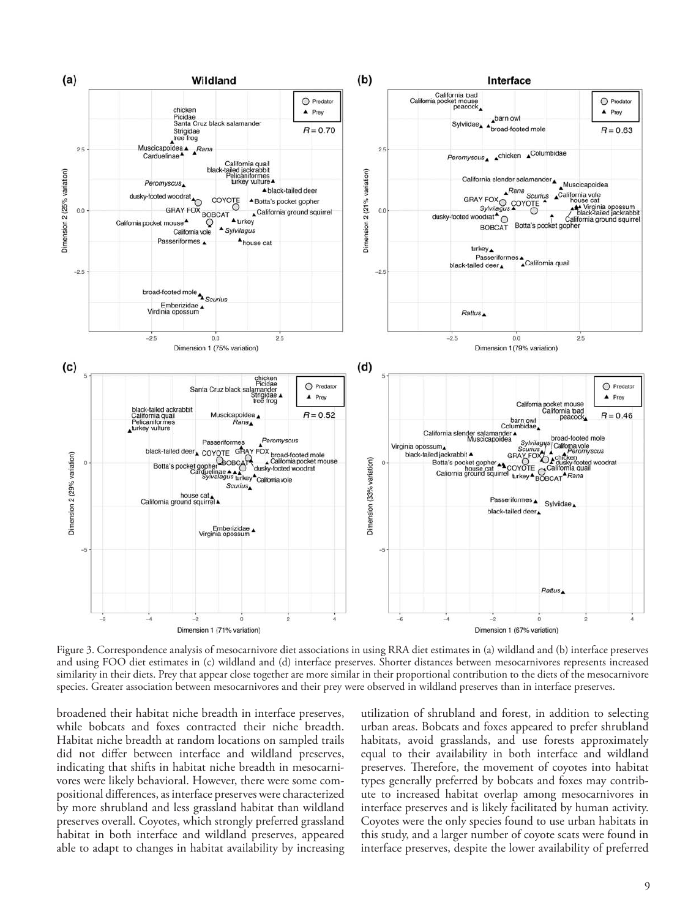

Figure 3. Correspondence analysis of mesocarnivore diet associations in using RRA diet estimates in (a) wildland and (b) interface preserves and using FOO diet estimates in (c) wildland and (d) interface preserves. Shorter distances between mesocarnivores represents increased similarity in their diets. Prey that appear close together are more similar in their proportional contribution to the diets of the mesocarnivore species. Greater association between mesocarnivores and their prey were observed in wildland preserves than in interface preserves.

broadened their habitat niche breadth in interface preserves, while bobcats and foxes contracted their niche breadth. Habitat niche breadth at random locations on sampled trails did not differ between interface and wildland preserves, indicating that shifts in habitat niche breadth in mesocarnivores were likely behavioral. However, there were some compositional differences, as interface preserves were characterized by more shrubland and less grassland habitat than wildland preserves overall. Coyotes, which strongly preferred grassland habitat in both interface and wildland preserves, appeared able to adapt to changes in habitat availability by increasing utilization of shrubland and forest, in addition to selecting urban areas. Bobcats and foxes appeared to prefer shrubland habitats, avoid grasslands, and use forests approximately equal to their availability in both interface and wildland preserves. Therefore, the movement of coyotes into habitat types generally preferred by bobcats and foxes may contribute to increased habitat overlap among mesocarnivores in interface preserves and is likely facilitated by human activity. Coyotes were the only species found to use urban habitats in this study, and a larger number of coyote scats were found in interface preserves, despite the lower availability of preferred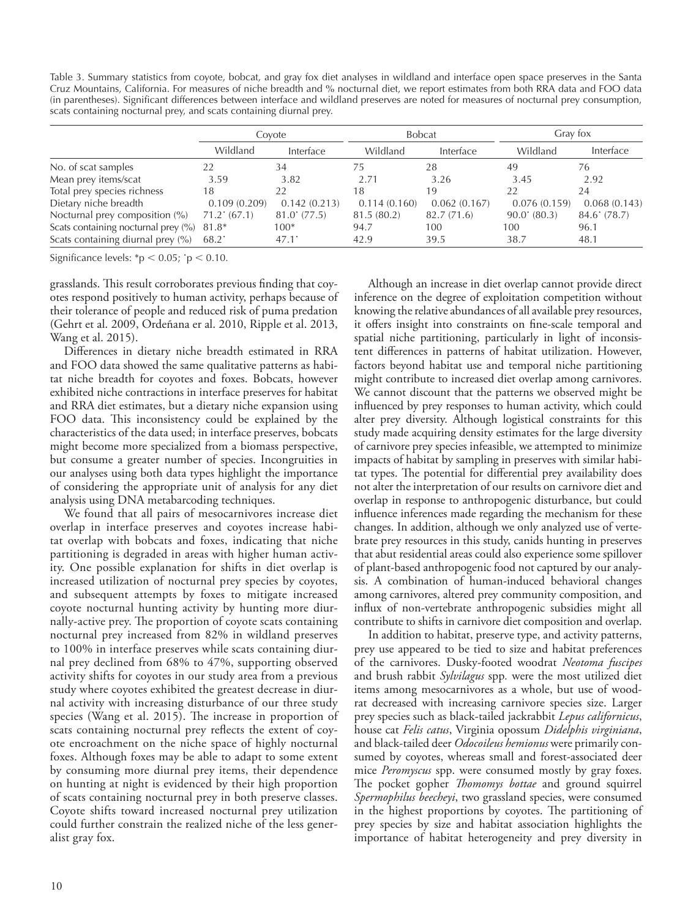Table 3. Summary statistics from coyote, bobcat, and gray fox diet analyses in wildland and interface open space preserves in the Santa Cruz Mountains, California. For measures of niche breadth and % nocturnal diet, we report estimates from both RRA data and FOO data (in parentheses). Significant differences between interface and wildland preserves are noted for measures of nocturnal prey consumption, scats containing nocturnal prey, and scats containing diurnal prey.

|                                           |                  | Covote          |              | <b>Bobcat</b> | Gray fox        |              |
|-------------------------------------------|------------------|-----------------|--------------|---------------|-----------------|--------------|
|                                           | Wildland         | Interface       | Wildland     | Interface     | Wildland        | Interface    |
| No. of scat samples                       | 22               | 34              | 75           | 28            | 49              | 76           |
| Mean prey items/scat                      | 3.59             | 3.82            | 2.71         | 3.26          | 3.45            | 2.92         |
| Total prey species richness               | 18               | 22              | 18           | 19            | 22              | 24           |
| Dietary niche breadth                     | 0.109(0.209)     | 0.142(0.213)    | 0.114(0.160) | 0.062(0.167)  | 0.076(0.159)    | 0.068(0.143) |
| Nocturnal prey composition (%)            | $71.2$ (67.1)    | $81.0$ $(77.5)$ | 81.5 (80.2)  | 82.7(71.6)    | $90.0$ $(80.3)$ | 84.6' (78.7) |
| Scats containing nocturnal prey (%) 81.8* |                  | $100*$          | 94.7         | 100           | 100             | 96.1         |
| Scats containing diurnal prey (%)         | $68.2^{\degree}$ | $47.1^{\circ}$  | 42.9         | 39.5          | 38.7            | 48.1         |

Significance levels:  $*$ p < 0.05;  $\cdot$ p < 0.10.

grasslands. This result corroborates previous finding that coyotes respond positively to human activity, perhaps because of their tolerance of people and reduced risk of puma predation (Gehrt et al. 2009, Ordeñana er al. 2010, Ripple et al. 2013, Wang et al. 2015).

Differences in dietary niche breadth estimated in RRA and FOO data showed the same qualitative patterns as habitat niche breadth for coyotes and foxes. Bobcats, however exhibited niche contractions in interface preserves for habitat and RRA diet estimates, but a dietary niche expansion using FOO data. This inconsistency could be explained by the characteristics of the data used; in interface preserves, bobcats might become more specialized from a biomass perspective, but consume a greater number of species. Incongruities in our analyses using both data types highlight the importance of considering the appropriate unit of analysis for any diet analysis using DNA metabarcoding techniques.

We found that all pairs of mesocarnivores increase diet overlap in interface preserves and coyotes increase habitat overlap with bobcats and foxes, indicating that niche partitioning is degraded in areas with higher human activity. One possible explanation for shifts in diet overlap is increased utilization of nocturnal prey species by coyotes, and subsequent attempts by foxes to mitigate increased coyote nocturnal hunting activity by hunting more diurnally-active prey. The proportion of coyote scats containing nocturnal prey increased from 82% in wildland preserves to 100% in interface preserves while scats containing diurnal prey declined from 68% to 47%, supporting observed activity shifts for coyotes in our study area from a previous study where coyotes exhibited the greatest decrease in diurnal activity with increasing disturbance of our three study species (Wang et al. 2015). The increase in proportion of scats containing nocturnal prey reflects the extent of coyote encroachment on the niche space of highly nocturnal foxes. Although foxes may be able to adapt to some extent by consuming more diurnal prey items, their dependence on hunting at night is evidenced by their high proportion of scats containing nocturnal prey in both preserve classes. Coyote shifts toward increased nocturnal prey utilization could further constrain the realized niche of the less generalist gray fox.

Although an increase in diet overlap cannot provide direct inference on the degree of exploitation competition without knowing the relative abundances of all available prey resources, it offers insight into constraints on fine-scale temporal and spatial niche partitioning, particularly in light of inconsistent differences in patterns of habitat utilization. However, factors beyond habitat use and temporal niche partitioning might contribute to increased diet overlap among carnivores. We cannot discount that the patterns we observed might be influenced by prey responses to human activity, which could alter prey diversity. Although logistical constraints for this study made acquiring density estimates for the large diversity of carnivore prey species infeasible, we attempted to minimize impacts of habitat by sampling in preserves with similar habitat types. The potential for differential prey availability does not alter the interpretation of our results on carnivore diet and overlap in response to anthropogenic disturbance, but could influence inferences made regarding the mechanism for these changes. In addition, although we only analyzed use of vertebrate prey resources in this study, canids hunting in preserves that abut residential areas could also experience some spillover of plant-based anthropogenic food not captured by our analysis. A combination of human-induced behavioral changes among carnivores, altered prey community composition, and influx of non-vertebrate anthropogenic subsidies might all contribute to shifts in carnivore diet composition and overlap.

In addition to habitat, preserve type, and activity patterns, prey use appeared to be tied to size and habitat preferences of the carnivores. Dusky-footed woodrat *Neotoma fuscipes* and brush rabbit *Sylvilagus* spp*.* were the most utilized diet items among mesocarnivores as a whole, but use of woodrat decreased with increasing carnivore species size. Larger prey species such as black-tailed jackrabbit *Lepus californicus*, house cat *Felis catus*, Virginia opossum *Didelphis virginiana*, and black-tailed deer *Odocoileus hemionus* were primarily consumed by coyotes, whereas small and forest-associated deer mice *Peromyscus* spp. were consumed mostly by gray foxes. The pocket gopher *Thomomys bottae* and ground squirrel *Spermophilus beecheyi*, two grassland species, were consumed in the highest proportions by coyotes. The partitioning of prey species by size and habitat association highlights the importance of habitat heterogeneity and prey diversity in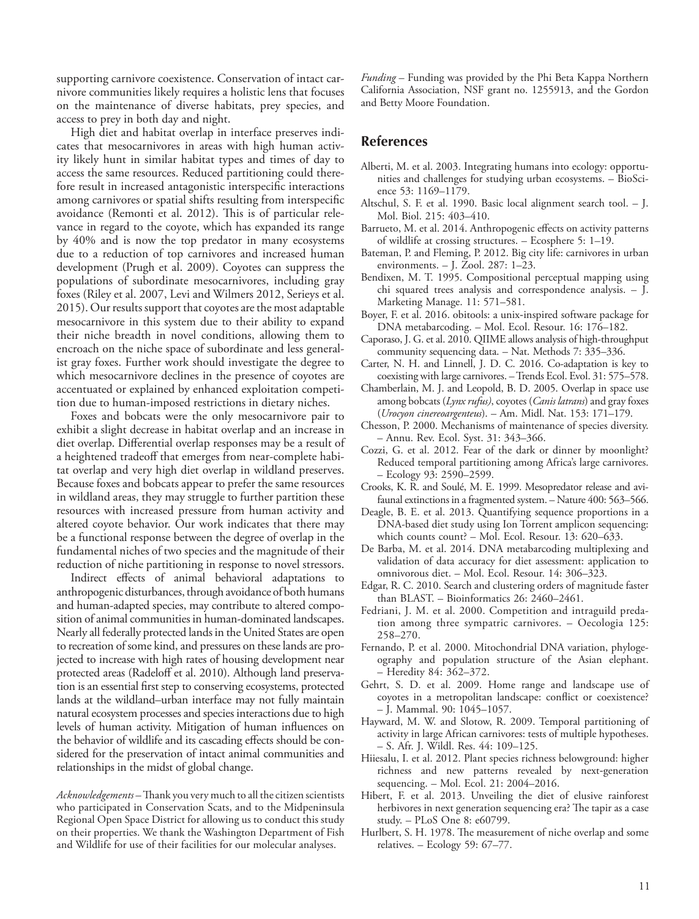supporting carnivore coexistence. Conservation of intact carnivore communities likely requires a holistic lens that focuses on the maintenance of diverse habitats, prey species, and access to prey in both day and night.

High diet and habitat overlap in interface preserves indicates that mesocarnivores in areas with high human activity likely hunt in similar habitat types and times of day to access the same resources. Reduced partitioning could therefore result in increased antagonistic interspecific interactions among carnivores or spatial shifts resulting from interspecific avoidance (Remonti et al. 2012). This is of particular relevance in regard to the coyote, which has expanded its range by 40% and is now the top predator in many ecosystems due to a reduction of top carnivores and increased human development (Prugh et al. 2009). Coyotes can suppress the populations of subordinate mesocarnivores, including gray foxes (Riley et al. 2007, Levi and Wilmers 2012, Serieys et al. 2015). Our results support that coyotes are the most adaptable mesocarnivore in this system due to their ability to expand their niche breadth in novel conditions, allowing them to encroach on the niche space of subordinate and less generalist gray foxes. Further work should investigate the degree to which mesocarnivore declines in the presence of coyotes are accentuated or explained by enhanced exploitation competition due to human-imposed restrictions in dietary niches.

Foxes and bobcats were the only mesocarnivore pair to exhibit a slight decrease in habitat overlap and an increase in diet overlap. Differential overlap responses may be a result of a heightened tradeoff that emerges from near-complete habitat overlap and very high diet overlap in wildland preserves. Because foxes and bobcats appear to prefer the same resources in wildland areas, they may struggle to further partition these resources with increased pressure from human activity and altered coyote behavior. Our work indicates that there may be a functional response between the degree of overlap in the fundamental niches of two species and the magnitude of their reduction of niche partitioning in response to novel stressors.

Indirect effects of animal behavioral adaptations to anthropogenic disturbances, through avoidance of both humans and human-adapted species, may contribute to altered composition of animal communities in human-dominated landscapes. Nearly all federally protected lands in the United States are open to recreation of some kind, and pressures on these lands are projected to increase with high rates of housing development near protected areas (Radeloff et al. 2010). Although land preservation is an essential first step to conserving ecosystems, protected lands at the wildland–urban interface may not fully maintain natural ecosystem processes and species interactions due to high levels of human activity. Mitigation of human influences on the behavior of wildlife and its cascading effects should be considered for the preservation of intact animal communities and relationships in the midst of global change.

*Acknowledgements –* Thank you very much to all the citizen scientists who participated in Conservation Scats, and to the Midpeninsula Regional Open Space District for allowing us to conduct this study on their properties. We thank the Washington Department of Fish and Wildlife for use of their facilities for our molecular analyses.

*Funding* – Funding was provided by the Phi Beta Kappa Northern California Association, NSF grant no. 1255913, and the Gordon and Betty Moore Foundation.

# **References**

- Alberti, M. et al. 2003. Integrating humans into ecology: opportunities and challenges for studying urban ecosystems. – BioScience 53: 1169–1179.
- Altschul, S. F. et al. 1990. Basic local alignment search tool. J. Mol. Biol. 215: 403–410.
- Barrueto, M. et al. 2014. Anthropogenic effects on activity patterns of wildlife at crossing structures. – Ecosphere 5: 1–19.
- Bateman, P. and Fleming, P. 2012. Big city life: carnivores in urban environments. – J. Zool. 287: 1–23.
- Bendixen, M. T. 1995. Compositional perceptual mapping using chi squared trees analysis and correspondence analysis. – J. Marketing Manage. 11: 571–581.
- Boyer, F. et al. 2016. obitools: a unix‐inspired software package for DNA metabarcoding. – Mol. Ecol. Resour. 16: 176–182.
- Caporaso, J. G.et al. 2010. QIIME allows analysis of high-throughput community sequencing data. – Nat. Methods 7: 335–336.
- Carter, N. H. and Linnell, J. D. C. 2016. Co-adaptation is key to coexisting with large carnivores. – Trends Ecol. Evol. 31: 575–578.
- Chamberlain, M. J. and Leopold, B. D. 2005. Overlap in space use among bobcats (*Lynx rufus)*, coyotes (*Canis latrans*) and gray foxes (*Urocyon cinereoargenteus*). – Am. Midl. Nat. 153: 171–179.
- Chesson, P. 2000. Mechanisms of maintenance of species diversity. – Annu. Rev. Ecol. Syst. 31: 343–366.
- Cozzi, G. et al. 2012. Fear of the dark or dinner by moonlight? Reduced temporal partitioning among Africa's large carnivores. – Ecology 93: 2590–2599.
- Crooks, K. R. and Soulé, M. E. 1999. Mesopredator release and avifaunal extinctions in a fragmented system. – Nature 400: 563–566.
- Deagle, B. E. et al. 2013. Quantifying sequence proportions in a DNA-based diet study using Ion Torrent amplicon sequencing: which counts count? – Mol. Ecol. Resour. 13: 620–633.
- De Barba, M. et al. 2014. DNA metabarcoding multiplexing and validation of data accuracy for diet assessment: application to omnivorous diet. – Mol. Ecol. Resour. 14: 306–323.
- Edgar, R. C. 2010. Search and clustering orders of magnitude faster than BLAST. – Bioinformatics 26: 2460–2461.
- Fedriani, J. M. et al. 2000. Competition and intraguild predation among three sympatric carnivores. – Oecologia 125: 258–270.
- Fernando, P. et al. 2000. Mitochondrial DNA variation, phylogeography and population structure of the Asian elephant. – Heredity 84: 362–372.
- Gehrt, S. D. et al. 2009. Home range and landscape use of coyotes in a metropolitan landscape: conflict or coexistence? – J. Mammal. 90: 1045–1057.
- Hayward, M. W. and Slotow, R. 2009. Temporal partitioning of activity in large African carnivores: tests of multiple hypotheses. – S. Afr. J. Wildl. Res. 44: 109–125.
- Hiiesalu, I. et al. 2012. Plant species richness belowground: higher richness and new patterns revealed by next‐generation sequencing. – Mol. Ecol. 21: 2004–2016.
- Hibert, F. et al. 2013. Unveiling the diet of elusive rainforest herbivores in next generation sequencing era? The tapir as a case study. – PLoS One 8: e60799.
- Hurlbert, S. H. 1978. The measurement of niche overlap and some relatives. – Ecology 59: 67–77.